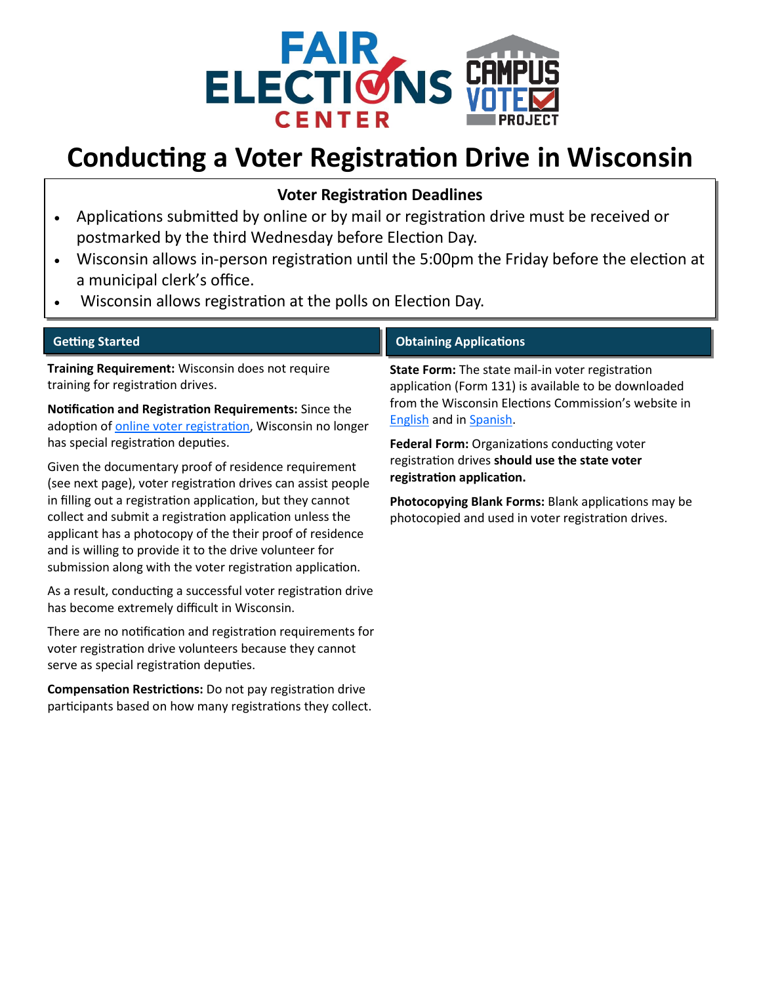

## **Conducting a Voter Registration Drive in Wisconsin**

## **Voter Registration Deadlines**

- Applications submitted by online or by mail or registration drive must be received or postmarked by the third Wednesday before Election Day.
- Wisconsin allows in-person registration until the 5:00pm the Friday before the election at a municipal clerk's office.
- Wisconsin allows registration at the polls on Election Day.

| <b>Getting Started</b>                                                                                                                                                                                                                                                                                      | <b>Obtaining Applications</b>                                                                                                                                                                                                                      |
|-------------------------------------------------------------------------------------------------------------------------------------------------------------------------------------------------------------------------------------------------------------------------------------------------------------|----------------------------------------------------------------------------------------------------------------------------------------------------------------------------------------------------------------------------------------------------|
| Training Requirement: Wisconsin does not require<br>training for registration drives.                                                                                                                                                                                                                       | State Form: The state mail-in voter registration<br>application (Form 131) is available to be downloaded<br>from the Wisconsin Elections Commission's website in<br><b>English and in Spanish.</b><br>Federal Form: Organizations conducting voter |
| Notification and Registration Requirements: Since the<br>adoption of online voter registration, Wisconsin no longer                                                                                                                                                                                         |                                                                                                                                                                                                                                                    |
| has special registration deputies.                                                                                                                                                                                                                                                                          |                                                                                                                                                                                                                                                    |
| Given the documentary proof of residence requirement<br>(see next page), voter registration drives can assist people                                                                                                                                                                                        | registration drives should use the state voter<br>registration application.                                                                                                                                                                        |
| in filling out a registration application, but they cannot<br>collect and submit a registration application unless the<br>applicant has a photocopy of the their proof of residence<br>and is willing to provide it to the drive volunteer for<br>submission along with the voter registration application. | Photocopying Blank Forms: Blank applications may be<br>photocopied and used in voter registration drives.                                                                                                                                          |
| As a result, conducting a successful voter registration drive<br>has become extremely difficult in Wisconsin.                                                                                                                                                                                               |                                                                                                                                                                                                                                                    |
| There are no notification and registration requirements for<br>voter registration drive volunteers because they cannot<br>serve as special registration deputies.                                                                                                                                           |                                                                                                                                                                                                                                                    |

**Compensation Restrictions:** Do not pay registration drive participants based on how many registrations they collect.